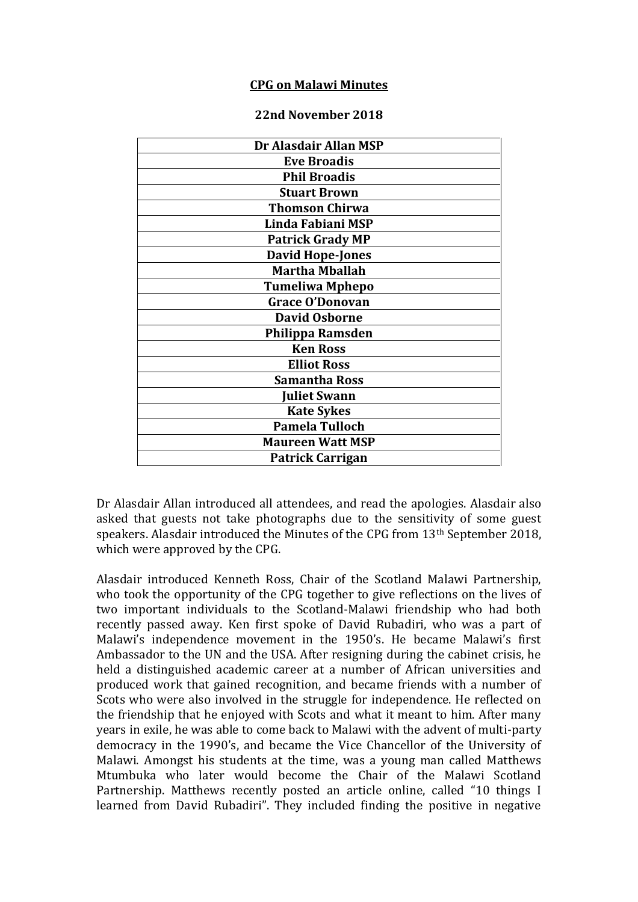## **CPG on Malawi Minutes**

## **22nd November 2018**

| Dr Alasdair Allan MSP   |
|-------------------------|
| <b>Eve Broadis</b>      |
| <b>Phil Broadis</b>     |
| <b>Stuart Brown</b>     |
| <b>Thomson Chirwa</b>   |
| Linda Fabiani MSP       |
| <b>Patrick Grady MP</b> |
| <b>David Hope-Jones</b> |
| <b>Martha Mballah</b>   |
| <b>Tumeliwa Mphepo</b>  |
| <b>Grace O'Donovan</b>  |
| <b>David Osborne</b>    |
| Philippa Ramsden        |
| <b>Ken Ross</b>         |
| <b>Elliot Ross</b>      |
| <b>Samantha Ross</b>    |
| <b>Juliet Swann</b>     |
| <b>Kate Sykes</b>       |
| <b>Pamela Tulloch</b>   |
| <b>Maureen Watt MSP</b> |
| <b>Patrick Carrigan</b> |

Dr Alasdair Allan introduced all attendees, and read the apologies. Alasdair also asked that guests not take photographs due to the sensitivity of some guest speakers. Alasdair introduced the Minutes of the CPG from 13th September 2018, which were approved by the CPG.

Alasdair introduced Kenneth Ross, Chair of the Scotland Malawi Partnership, who took the opportunity of the CPG together to give reflections on the lives of two important individuals to the Scotland-Malawi friendship who had both recently passed away. Ken first spoke of David Rubadiri, who was a part of Malawi's independence movement in the 1950's. He became Malawi's first Ambassador to the UN and the USA. After resigning during the cabinet crisis, he held a distinguished academic career at a number of African universities and produced work that gained recognition, and became friends with a number of Scots who were also involved in the struggle for independence. He reflected on the friendship that he enjoyed with Scots and what it meant to him. After many years in exile, he was able to come back to Malawi with the advent of multi-party democracy in the 1990's, and became the Vice Chancellor of the University of Malawi. Amongst his students at the time, was a young man called Matthews Mtumbuka who later would become the Chair of the Malawi Scotland Partnership. Matthews recently posted an article online, called "10 things I learned from David Rubadiri". They included finding the positive in negative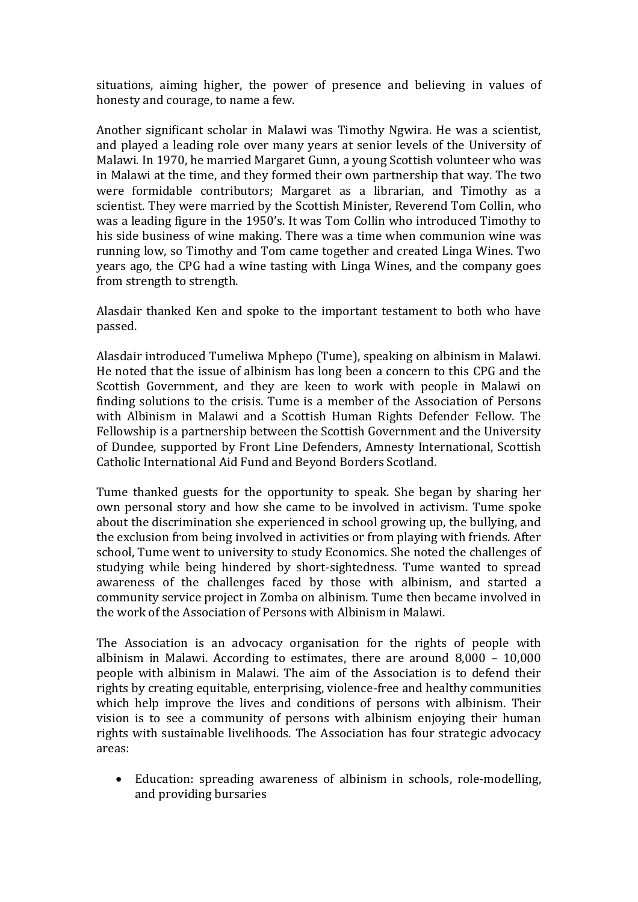situations, aiming higher, the power of presence and believing in values of honesty and courage, to name a few.

Another significant scholar in Malawi was Timothy Ngwira. He was a scientist, and played a leading role over many years at senior levels of the University of Malawi. In 1970, he married Margaret Gunn, a young Scottish volunteer who was in Malawi at the time, and they formed their own partnership that way. The two were formidable contributors; Margaret as a librarian, and Timothy as a scientist. They were married by the Scottish Minister, Reverend Tom Collin, who was a leading figure in the 1950's. It was Tom Collin who introduced Timothy to his side business of wine making. There was a time when communion wine was running low, so Timothy and Tom came together and created Linga Wines. Two years ago, the CPG had a wine tasting with Linga Wines, and the company goes from strength to strength.

Alasdair thanked Ken and spoke to the important testament to both who have passed.

Alasdair introduced Tumeliwa Mphepo (Tume), speaking on albinism in Malawi. He noted that the issue of albinism has long been a concern to this CPG and the Scottish Government, and they are keen to work with people in Malawi on finding solutions to the crisis. Tume is a member of the Association of Persons with Albinism in Malawi and a Scottish Human Rights Defender Fellow. The Fellowship is a partnership between the Scottish Government and the University of Dundee, supported by Front Line Defenders, Amnesty International, Scottish Catholic International Aid Fund and Beyond Borders Scotland.

Tume thanked guests for the opportunity to speak. She began by sharing her own personal story and how she came to be involved in activism. Tume spoke about the discrimination she experienced in school growing up, the bullying, and the exclusion from being involved in activities or from playing with friends. After school, Tume went to university to study Economics. She noted the challenges of studying while being hindered by short-sightedness. Tume wanted to spread awareness of the challenges faced by those with albinism, and started a community service project in Zomba on albinism. Tume then became involved in the work of the Association of Persons with Albinism in Malawi.

The Association is an advocacy organisation for the rights of people with albinism in Malawi. According to estimates, there are around 8,000 – 10,000 people with albinism in Malawi. The aim of the Association is to defend their rights by creating equitable, enterprising, violence-free and healthy communities which help improve the lives and conditions of persons with albinism. Their vision is to see a community of persons with albinism enjoying their human rights with sustainable livelihoods. The Association has four strategic advocacy areas:

 Education: spreading awareness of albinism in schools, role-modelling, and providing bursaries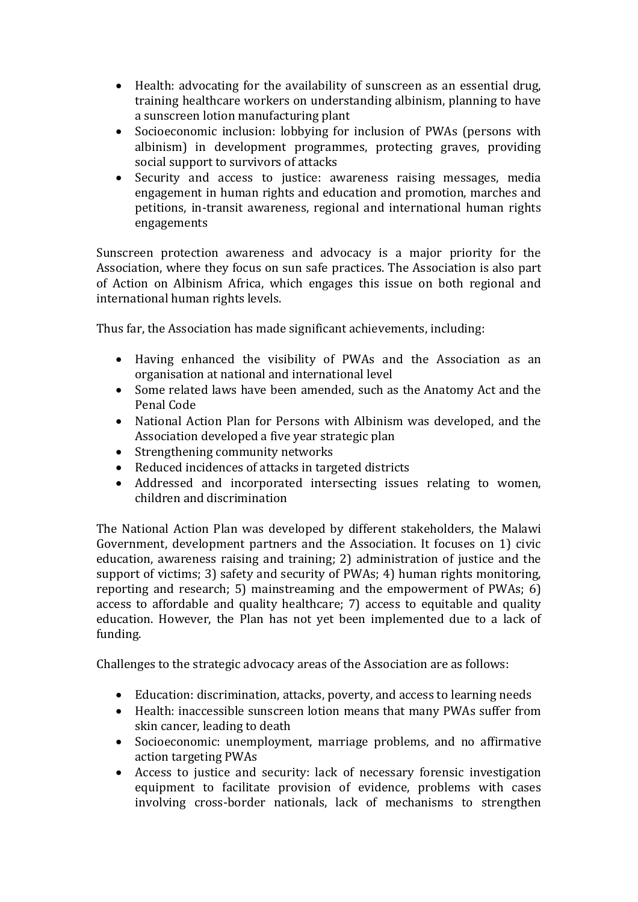- Health: advocating for the availability of sunscreen as an essential drug, training healthcare workers on understanding albinism, planning to have a sunscreen lotion manufacturing plant
- Socioeconomic inclusion: lobbying for inclusion of PWAs (persons with albinism) in development programmes, protecting graves, providing social support to survivors of attacks
- Security and access to justice: awareness raising messages, media engagement in human rights and education and promotion, marches and petitions, in-transit awareness, regional and international human rights engagements

Sunscreen protection awareness and advocacy is a major priority for the Association, where they focus on sun safe practices. The Association is also part of Action on Albinism Africa, which engages this issue on both regional and international human rights levels.

Thus far, the Association has made significant achievements, including:

- Having enhanced the visibility of PWAs and the Association as an organisation at national and international level
- Some related laws have been amended, such as the Anatomy Act and the Penal Code
- National Action Plan for Persons with Albinism was developed, and the Association developed a five year strategic plan
- Strengthening community networks
- Reduced incidences of attacks in targeted districts
- Addressed and incorporated intersecting issues relating to women, children and discrimination

The National Action Plan was developed by different stakeholders, the Malawi Government, development partners and the Association. It focuses on 1) civic education, awareness raising and training; 2) administration of justice and the support of victims; 3) safety and security of PWAs; 4) human rights monitoring, reporting and research; 5) mainstreaming and the empowerment of PWAs; 6) access to affordable and quality healthcare; 7) access to equitable and quality education. However, the Plan has not yet been implemented due to a lack of funding.

Challenges to the strategic advocacy areas of the Association are as follows:

- Education: discrimination, attacks, poverty, and access to learning needs
- Health: inaccessible sunscreen lotion means that many PWAs suffer from skin cancer, leading to death
- Socioeconomic: unemployment, marriage problems, and no affirmative action targeting PWAs
- Access to justice and security: lack of necessary forensic investigation equipment to facilitate provision of evidence, problems with cases involving cross-border nationals, lack of mechanisms to strengthen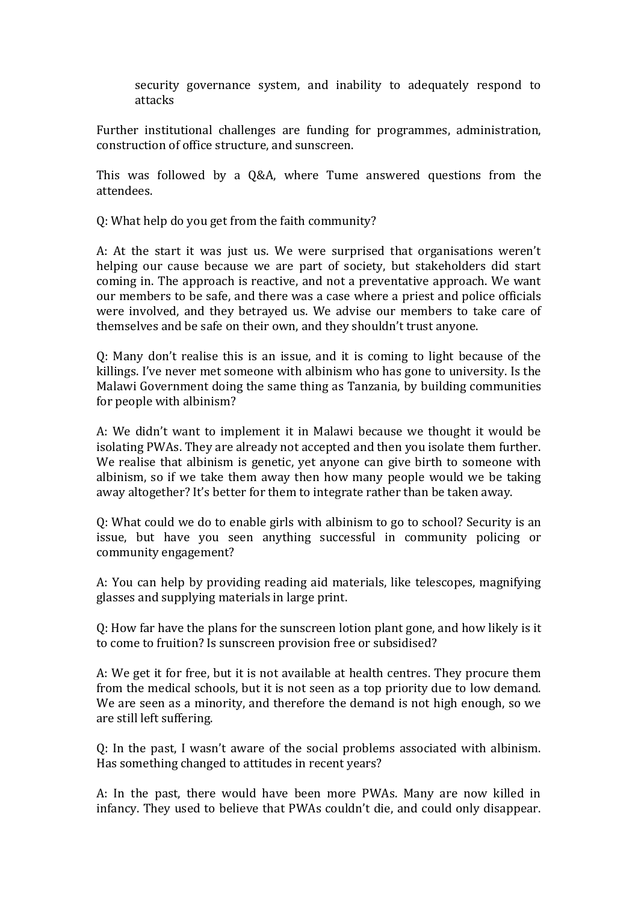security governance system, and inability to adequately respond to attacks

Further institutional challenges are funding for programmes, administration, construction of office structure, and sunscreen.

This was followed by a Q&A, where Tume answered questions from the attendees.

Q: What help do you get from the faith community?

A: At the start it was just us. We were surprised that organisations weren't helping our cause because we are part of society, but stakeholders did start coming in. The approach is reactive, and not a preventative approach. We want our members to be safe, and there was a case where a priest and police officials were involved, and they betrayed us. We advise our members to take care of themselves and be safe on their own, and they shouldn't trust anyone.

Q: Many don't realise this is an issue, and it is coming to light because of the killings. I've never met someone with albinism who has gone to university. Is the Malawi Government doing the same thing as Tanzania, by building communities for people with albinism?

A: We didn't want to implement it in Malawi because we thought it would be isolating PWAs. They are already not accepted and then you isolate them further. We realise that albinism is genetic, yet anyone can give birth to someone with albinism, so if we take them away then how many people would we be taking away altogether? It's better for them to integrate rather than be taken away.

Q: What could we do to enable girls with albinism to go to school? Security is an issue, but have you seen anything successful in community policing or community engagement?

A: You can help by providing reading aid materials, like telescopes, magnifying glasses and supplying materials in large print.

Q: How far have the plans for the sunscreen lotion plant gone, and how likely is it to come to fruition? Is sunscreen provision free or subsidised?

A: We get it for free, but it is not available at health centres. They procure them from the medical schools, but it is not seen as a top priority due to low demand. We are seen as a minority, and therefore the demand is not high enough, so we are still left suffering.

Q: In the past, I wasn't aware of the social problems associated with albinism. Has something changed to attitudes in recent years?

A: In the past, there would have been more PWAs. Many are now killed in infancy. They used to believe that PWAs couldn't die, and could only disappear.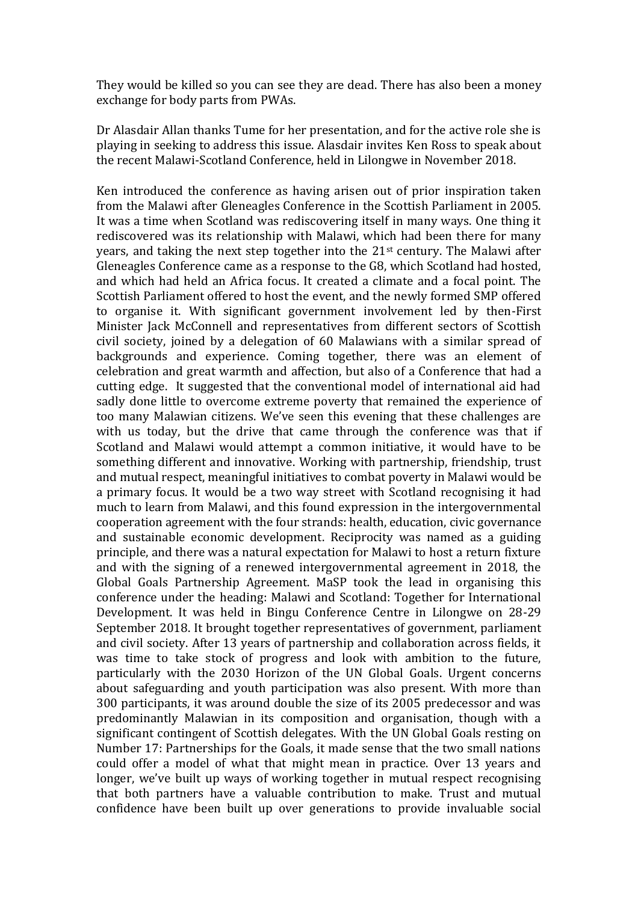They would be killed so you can see they are dead. There has also been a money exchange for body parts from PWAs.

Dr Alasdair Allan thanks Tume for her presentation, and for the active role she is playing in seeking to address this issue. Alasdair invites Ken Ross to speak about the recent Malawi-Scotland Conference, held in Lilongwe in November 2018.

Ken introduced the conference as having arisen out of prior inspiration taken from the Malawi after Gleneagles Conference in the Scottish Parliament in 2005. It was a time when Scotland was rediscovering itself in many ways. One thing it rediscovered was its relationship with Malawi, which had been there for many years, and taking the next step together into the 21st century. The Malawi after Gleneagles Conference came as a response to the G8, which Scotland had hosted, and which had held an Africa focus. It created a climate and a focal point. The Scottish Parliament offered to host the event, and the newly formed SMP offered to organise it. With significant government involvement led by then-First Minister Jack McConnell and representatives from different sectors of Scottish civil society, joined by a delegation of 60 Malawians with a similar spread of backgrounds and experience. Coming together, there was an element of celebration and great warmth and affection, but also of a Conference that had a cutting edge. It suggested that the conventional model of international aid had sadly done little to overcome extreme poverty that remained the experience of too many Malawian citizens. We've seen this evening that these challenges are with us today, but the drive that came through the conference was that if Scotland and Malawi would attempt a common initiative, it would have to be something different and innovative. Working with partnership, friendship, trust and mutual respect, meaningful initiatives to combat poverty in Malawi would be a primary focus. It would be a two way street with Scotland recognising it had much to learn from Malawi, and this found expression in the intergovernmental cooperation agreement with the four strands: health, education, civic governance and sustainable economic development. Reciprocity was named as a guiding principle, and there was a natural expectation for Malawi to host a return fixture and with the signing of a renewed intergovernmental agreement in 2018, the Global Goals Partnership Agreement. MaSP took the lead in organising this conference under the heading: Malawi and Scotland: Together for International Development. It was held in Bingu Conference Centre in Lilongwe on 28-29 September 2018. It brought together representatives of government, parliament and civil society. After 13 years of partnership and collaboration across fields, it was time to take stock of progress and look with ambition to the future, particularly with the 2030 Horizon of the UN Global Goals. Urgent concerns about safeguarding and youth participation was also present. With more than 300 participants, it was around double the size of its 2005 predecessor and was predominantly Malawian in its composition and organisation, though with a significant contingent of Scottish delegates. With the UN Global Goals resting on Number 17: Partnerships for the Goals, it made sense that the two small nations could offer a model of what that might mean in practice. Over 13 years and longer, we've built up ways of working together in mutual respect recognising that both partners have a valuable contribution to make. Trust and mutual confidence have been built up over generations to provide invaluable social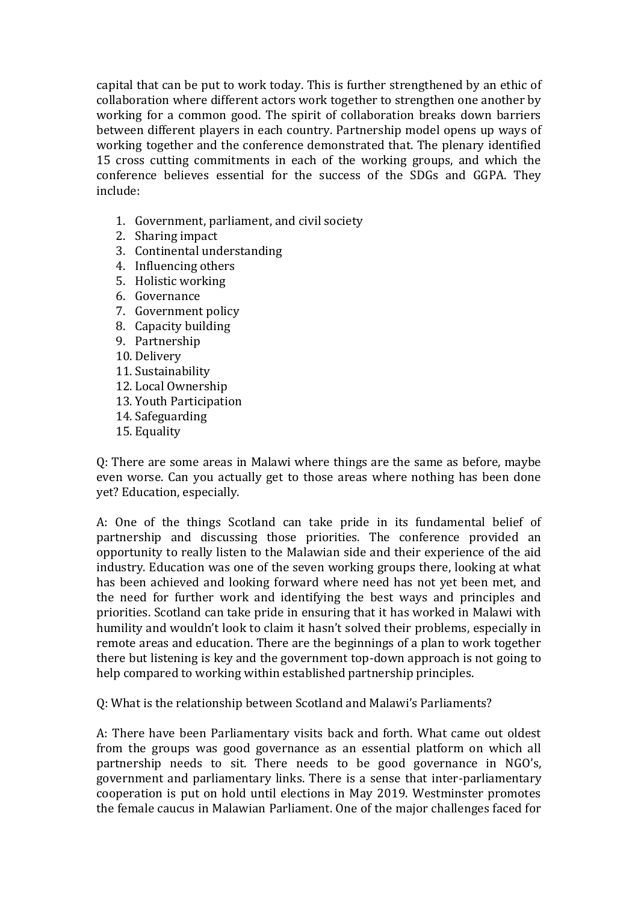capital that can be put to work today. This is further strengthened by an ethic of collaboration where different actors work together to strengthen one another by working for a common good. The spirit of collaboration breaks down barriers between different players in each country. Partnership model opens up ways of working together and the conference demonstrated that. The plenary identified 15 cross cutting commitments in each of the working groups, and which the conference believes essential for the success of the SDGs and GGPA. They include:

- 1. Government, parliament, and civil society
- 2. Sharing impact
- 3. Continental understanding
- 4. Influencing others
- 5. Holistic working
- 6. Governance
- 7. Government policy
- 8. Capacity building
- 9. Partnership
- 10. Delivery
- 11. Sustainability
- 12. Local Ownership
- 13. Youth Participation
- 14. Safeguarding
- 15. Equality

Q: There are some areas in Malawi where things are the same as before, maybe even worse. Can you actually get to those areas where nothing has been done yet? Education, especially.

A: One of the things Scotland can take pride in its fundamental belief of partnership and discussing those priorities. The conference provided an opportunity to really listen to the Malawian side and their experience of the aid industry. Education was one of the seven working groups there, looking at what has been achieved and looking forward where need has not yet been met, and the need for further work and identifying the best ways and principles and priorities. Scotland can take pride in ensuring that it has worked in Malawi with humility and wouldn't look to claim it hasn't solved their problems, especially in remote areas and education. There are the beginnings of a plan to work together there but listening is key and the government top-down approach is not going to help compared to working within established partnership principles.

Q: What is the relationship between Scotland and Malawi's Parliaments?

A: There have been Parliamentary visits back and forth. What came out oldest from the groups was good governance as an essential platform on which all partnership needs to sit. There needs to be good governance in NGO's, government and parliamentary links. There is a sense that inter-parliamentary cooperation is put on hold until elections in May 2019. Westminster promotes the female caucus in Malawian Parliament. One of the major challenges faced for